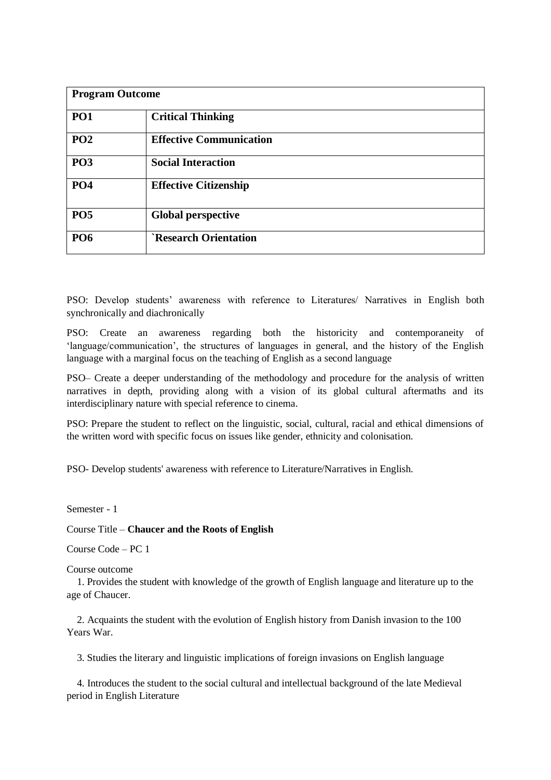| <b>Program Outcome</b> |                                |
|------------------------|--------------------------------|
| <b>PO1</b>             | <b>Critical Thinking</b>       |
| PO <sub>2</sub>        | <b>Effective Communication</b> |
| <b>PO3</b>             | <b>Social Interaction</b>      |
| <b>PO4</b>             | <b>Effective Citizenship</b>   |
| <b>PO5</b>             | <b>Global perspective</b>      |
| <b>PO6</b>             | <b>`Research Orientation</b>   |

PSO: Develop students' awareness with reference to Literatures/ Narratives in English both synchronically and diachronically

PSO: Create an awareness regarding both the historicity and contemporaneity of 'language/communication', the structures of languages in general, and the history of the English language with a marginal focus on the teaching of English as a second language

PSO– Create a deeper understanding of the methodology and procedure for the analysis of written narratives in depth, providing along with a vision of its global cultural aftermaths and its interdisciplinary nature with special reference to cinema.

PSO: Prepare the student to reflect on the linguistic, social, cultural, racial and ethical dimensions of the written word with specific focus on issues like gender, ethnicity and colonisation.

PSO- Develop students' awareness with reference to Literature/Narratives in English.

Semester - 1

Course Title – **Chaucer and the Roots of English**

Course Code – PC 1

Course outcome

1. Provides the student with knowledge of the growth of English language and literature up to the age of Chaucer.

2. Acquaints the student with the evolution of English history from Danish invasion to the 100 Years War.

3. Studies the literary and linguistic implications of foreign invasions on English language

4. Introduces the student to the social cultural and intellectual background of the late Medieval period in English Literature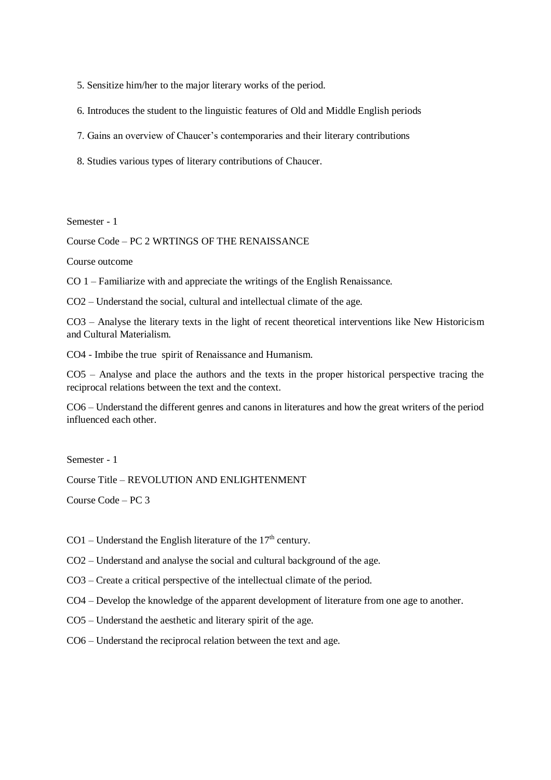5. Sensitize him/her to the major literary works of the period.

6. Introduces the student to the linguistic features of Old and Middle English periods

7. Gains an overview of Chaucer's contemporaries and their literary contributions

8. Studies various types of literary contributions of Chaucer.

Semester - 1

Course Code – PC 2 WRTINGS OF THE RENAISSANCE

Course outcome

CO 1 – Familiarize with and appreciate the writings of the English Renaissance.

CO2 – Understand the social, cultural and intellectual climate of the age.

CO3 – Analyse the literary texts in the light of recent theoretical interventions like New Historicism and Cultural Materialism.

CO4 - Imbibe the true spirit of Renaissance and Humanism.

CO5 – Analyse and place the authors and the texts in the proper historical perspective tracing the reciprocal relations between the text and the context.

CO6 – Understand the different genres and canons in literatures and how the great writers of the period influenced each other.

Semester - 1

Course Title – REVOLUTION AND ENLIGHTENMENT

Course Code – PC 3

 $CO1$  – Understand the English literature of the 17<sup>th</sup> century.

CO2 – Understand and analyse the social and cultural background of the age.

CO3 – Create a critical perspective of the intellectual climate of the period.

CO4 – Develop the knowledge of the apparent development of literature from one age to another.

CO5 – Understand the aesthetic and literary spirit of the age.

CO6 – Understand the reciprocal relation between the text and age.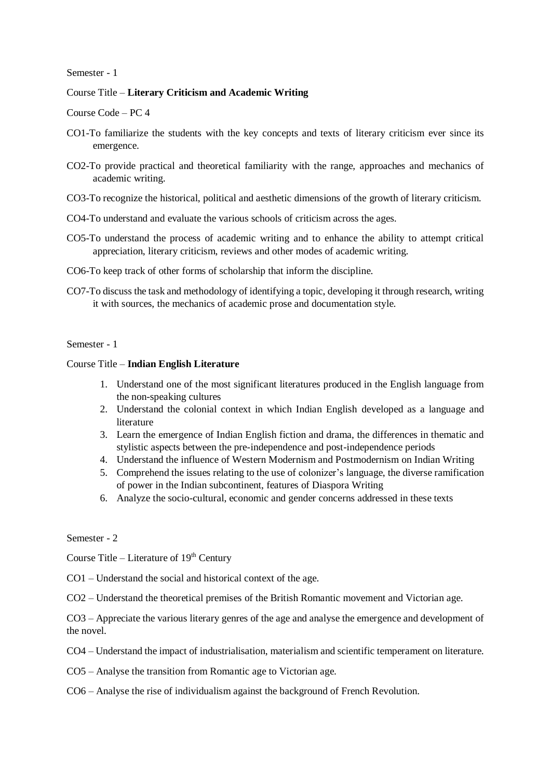# Course Title – **Literary Criticism and Academic Writing**

Course Code – PC 4

- CO1-To familiarize the students with the key concepts and texts of literary criticism ever since its emergence.
- CO2-To provide practical and theoretical familiarity with the range, approaches and mechanics of academic writing.
- CO3-To recognize the historical, political and aesthetic dimensions of the growth of literary criticism.
- CO4-To understand and evaluate the various schools of criticism across the ages.
- CO5-To understand the process of academic writing and to enhance the ability to attempt critical appreciation, literary criticism, reviews and other modes of academic writing.
- CO6-To keep track of other forms of scholarship that inform the discipline.
- CO7-To discuss the task and methodology of identifying a topic, developing it through research, writing it with sources, the mechanics of academic prose and documentation style.

## Semester - 1

### Course Title – **Indian English Literature**

- 1. Understand one of the most significant literatures produced in the English language from the non-speaking cultures
- 2. Understand the colonial context in which Indian English developed as a language and literature
- 3. Learn the emergence of Indian English fiction and drama, the differences in thematic and stylistic aspects between the pre-independence and post-independence periods
- 4. Understand the influence of Western Modernism and Postmodernism on Indian Writing
- 5. Comprehend the issues relating to the use of colonizer's language, the diverse ramification of power in the Indian subcontinent, features of Diaspora Writing
- 6. Analyze the socio-cultural, economic and gender concerns addressed in these texts

Semester - 2

Course Title – Literature of  $19<sup>th</sup>$  Century

CO1 – Understand the social and historical context of the age.

CO2 – Understand the theoretical premises of the British Romantic movement and Victorian age.

CO3 – Appreciate the various literary genres of the age and analyse the emergence and development of the novel.

- CO4 Understand the impact of industrialisation, materialism and scientific temperament on literature.
- CO5 Analyse the transition from Romantic age to Victorian age.
- CO6 Analyse the rise of individualism against the background of French Revolution.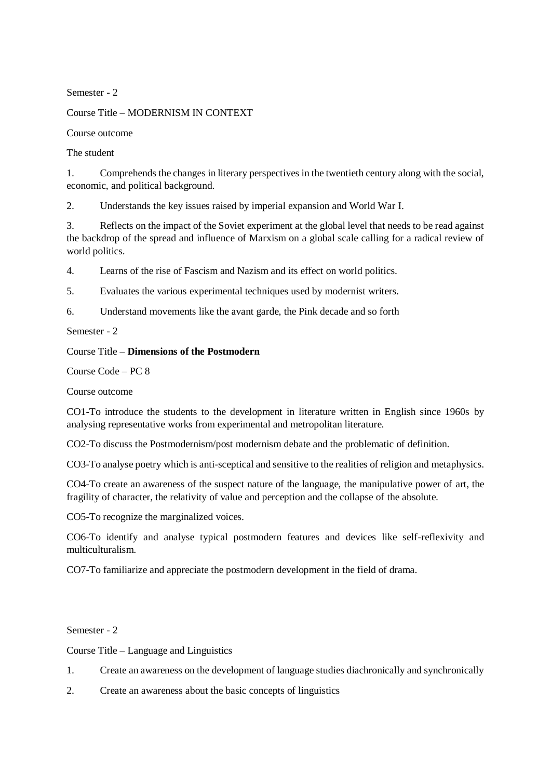Course Title – MODERNISM IN CONTEXT

Course outcome

The student

1. Comprehends the changes in literary perspectives in the twentieth century along with the social, economic, and political background.

2. Understands the key issues raised by imperial expansion and World War I.

3. Reflects on the impact of the Soviet experiment at the global level that needs to be read against the backdrop of the spread and influence of Marxism on a global scale calling for a radical review of world politics.

4. Learns of the rise of Fascism and Nazism and its effect on world politics.

5. Evaluates the various experimental techniques used by modernist writers.

6. Understand movements like the avant garde, the Pink decade and so forth

Semester - 2

Course Title – **Dimensions of the Postmodern**

Course Code – PC 8

Course outcome

CO1-To introduce the students to the development in literature written in English since 1960s by analysing representative works from experimental and metropolitan literature.

CO2-To discuss the Postmodernism/post modernism debate and the problematic of definition.

CO3-To analyse poetry which is anti-sceptical and sensitive to the realities of religion and metaphysics.

CO4-To create an awareness of the suspect nature of the language, the manipulative power of art, the fragility of character, the relativity of value and perception and the collapse of the absolute.

CO5-To recognize the marginalized voices.

CO6-To identify and analyse typical postmodern features and devices like self-reflexivity and multiculturalism.

CO7-To familiarize and appreciate the postmodern development in the field of drama.

Semester - 2

Course Title – Language and Linguistics

- 1. Create an awareness on the development of language studies diachronically and synchronically
- 2. Create an awareness about the basic concepts of linguistics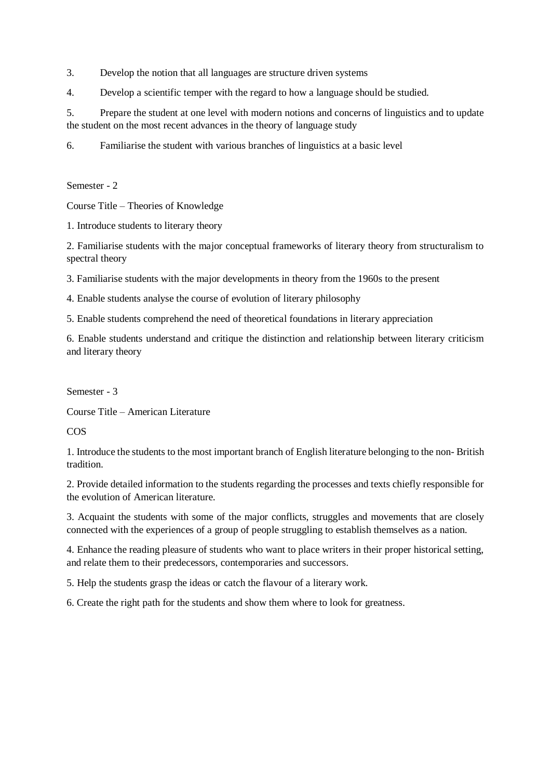3. Develop the notion that all languages are structure driven systems

4. Develop a scientific temper with the regard to how a language should be studied.

5. Prepare the student at one level with modern notions and concerns of linguistics and to update the student on the most recent advances in the theory of language study

6. Familiarise the student with various branches of linguistics at a basic level

Semester - 2

Course Title – Theories of Knowledge

1. Introduce students to literary theory

2. Familiarise students with the major conceptual frameworks of literary theory from structuralism to spectral theory

3. Familiarise students with the major developments in theory from the 1960s to the present

4. Enable students analyse the course of evolution of literary philosophy

5. Enable students comprehend the need of theoretical foundations in literary appreciation

6. Enable students understand and critique the distinction and relationship between literary criticism and literary theory

Semester - 3

Course Title – American Literature

**COS** 

1. Introduce the students to the most important branch of English literature belonging to the non- British tradition.

2. Provide detailed information to the students regarding the processes and texts chiefly responsible for the evolution of American literature.

3. Acquaint the students with some of the major conflicts, struggles and movements that are closely connected with the experiences of a group of people struggling to establish themselves as a nation.

4. Enhance the reading pleasure of students who want to place writers in their proper historical setting, and relate them to their predecessors, contemporaries and successors.

5. Help the students grasp the ideas or catch the flavour of a literary work.

6. Create the right path for the students and show them where to look for greatness.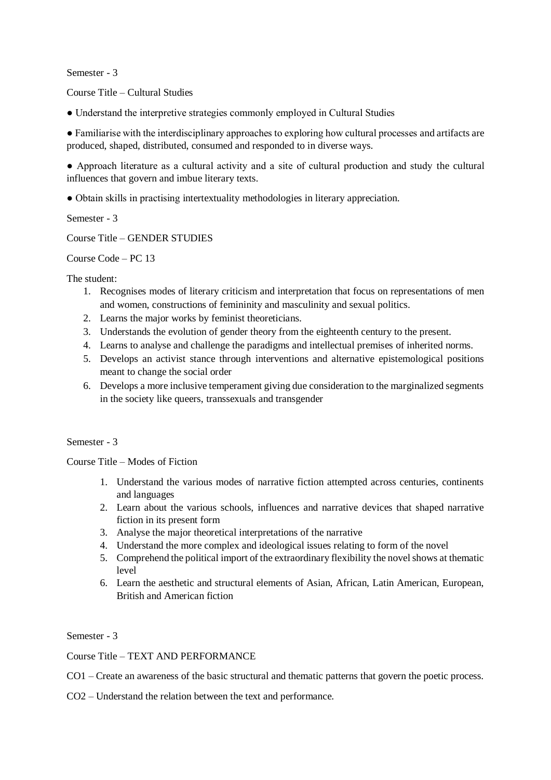Course Title – Cultural Studies

● Understand the interpretive strategies commonly employed in Cultural Studies

● Familiarise with the interdisciplinary approaches to exploring how cultural processes and artifacts are produced, shaped, distributed, consumed and responded to in diverse ways.

● Approach literature as a cultural activity and a site of cultural production and study the cultural influences that govern and imbue literary texts.

● Obtain skills in practising intertextuality methodologies in literary appreciation.

Semester - 3

Course Title – GENDER STUDIES

Course Code – PC 13

The student:

- 1. Recognises modes of literary criticism and interpretation that focus on representations of men and women, constructions of femininity and masculinity and sexual politics.
- 2. Learns the major works by feminist theoreticians.
- 3. Understands the evolution of gender theory from the eighteenth century to the present.
- 4. Learns to analyse and challenge the paradigms and intellectual premises of inherited norms.
- 5. Develops an activist stance through interventions and alternative epistemological positions meant to change the social order
- 6. Develops a more inclusive temperament giving due consideration to the marginalized segments in the society like queers, transsexuals and transgender

# Semester - 3

Course Title – Modes of Fiction

- 1. Understand the various modes of narrative fiction attempted across centuries, continents and languages
- 2. Learn about the various schools, influences and narrative devices that shaped narrative fiction in its present form
- 3. Analyse the major theoretical interpretations of the narrative
- 4. Understand the more complex and ideological issues relating to form of the novel
- 5. Comprehend the political import of the extraordinary flexibility the novel shows at thematic level
- 6. Learn the aesthetic and structural elements of Asian, African, Latin American, European, British and American fiction

Semester - 3

# Course Title – TEXT AND PERFORMANCE

CO1 – Create an awareness of the basic structural and thematic patterns that govern the poetic process.

CO2 – Understand the relation between the text and performance.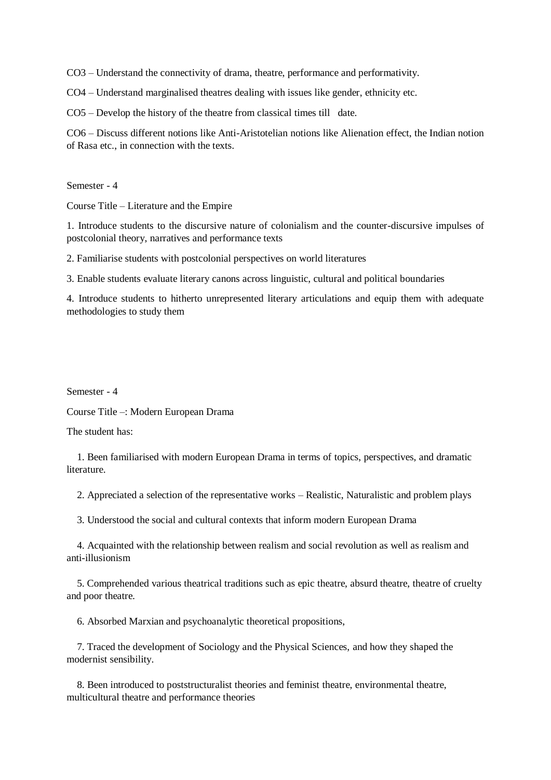CO3 – Understand the connectivity of drama, theatre, performance and performativity.

CO4 – Understand marginalised theatres dealing with issues like gender, ethnicity etc.

CO5 – Develop the history of the theatre from classical times till date.

CO6 – Discuss different notions like Anti-Aristotelian notions like Alienation effect, the Indian notion of Rasa etc., in connection with the texts.

Semester - 4

Course Title – Literature and the Empire

1. Introduce students to the discursive nature of colonialism and the counter-discursive impulses of postcolonial theory, narratives and performance texts

2. Familiarise students with postcolonial perspectives on world literatures

3. Enable students evaluate literary canons across linguistic, cultural and political boundaries

4. Introduce students to hitherto unrepresented literary articulations and equip them with adequate methodologies to study them

Semester - 4

Course Title –: Modern European Drama

The student has:

1. Been familiarised with modern European Drama in terms of topics, perspectives, and dramatic literature.

2. Appreciated a selection of the representative works – Realistic, Naturalistic and problem plays

3. Understood the social and cultural contexts that inform modern European Drama

4. Acquainted with the relationship between realism and social revolution as well as realism and anti-illusionism

5. Comprehended various theatrical traditions such as epic theatre, absurd theatre, theatre of cruelty and poor theatre.

6. Absorbed Marxian and psychoanalytic theoretical propositions,

7. Traced the development of Sociology and the Physical Sciences, and how they shaped the modernist sensibility.

8. Been introduced to poststructuralist theories and feminist theatre, environmental theatre, multicultural theatre and performance theories